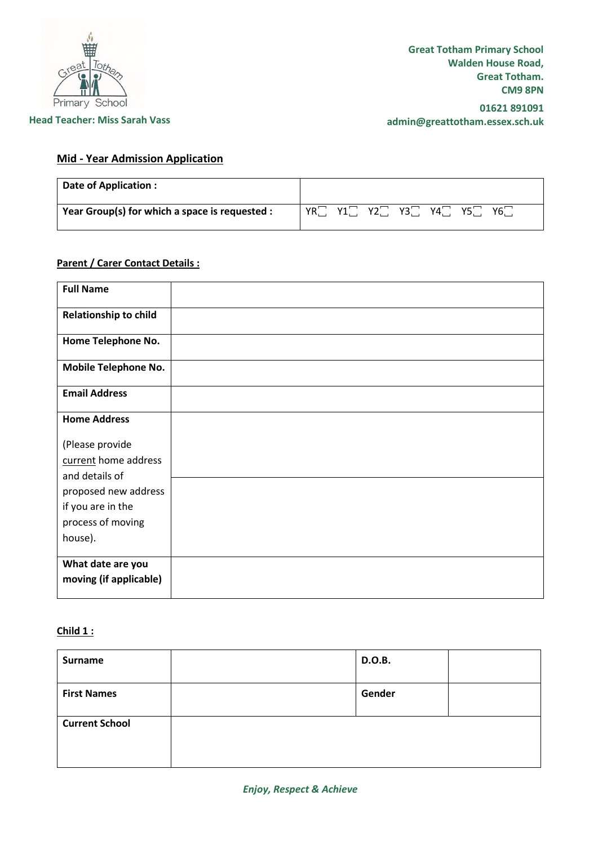

#### **Head Teacher: Miss Sarah Vass**

**01621 891091 admin@greattotham.essex.sch.uk**

# **Mid - Year Admission Application**

| Date of Application :                          |                                                     |
|------------------------------------------------|-----------------------------------------------------|
| Year Group(s) for which a space is requested : | $Y3$ .<br>YR.<br>∨າ⊡<br>Y4<br>Y6<br>Y5<br>$V1 \Box$ |

# **Parent / Carer Contact Details :**

| <b>Full Name</b>             |  |
|------------------------------|--|
|                              |  |
| <b>Relationship to child</b> |  |
|                              |  |
| Home Telephone No.           |  |
|                              |  |
| <b>Mobile Telephone No.</b>  |  |
|                              |  |
| <b>Email Address</b>         |  |
|                              |  |
| <b>Home Address</b>          |  |
|                              |  |
| (Please provide              |  |
| current home address         |  |
| and details of               |  |
| proposed new address         |  |
| if you are in the            |  |
| process of moving            |  |
|                              |  |
| house).                      |  |
| What date are you            |  |
|                              |  |
| moving (if applicable)       |  |
|                              |  |

#### **Child 1 :**

| Surname               | D.O.B. |  |
|-----------------------|--------|--|
| <b>First Names</b>    | Gender |  |
| <b>Current School</b> |        |  |